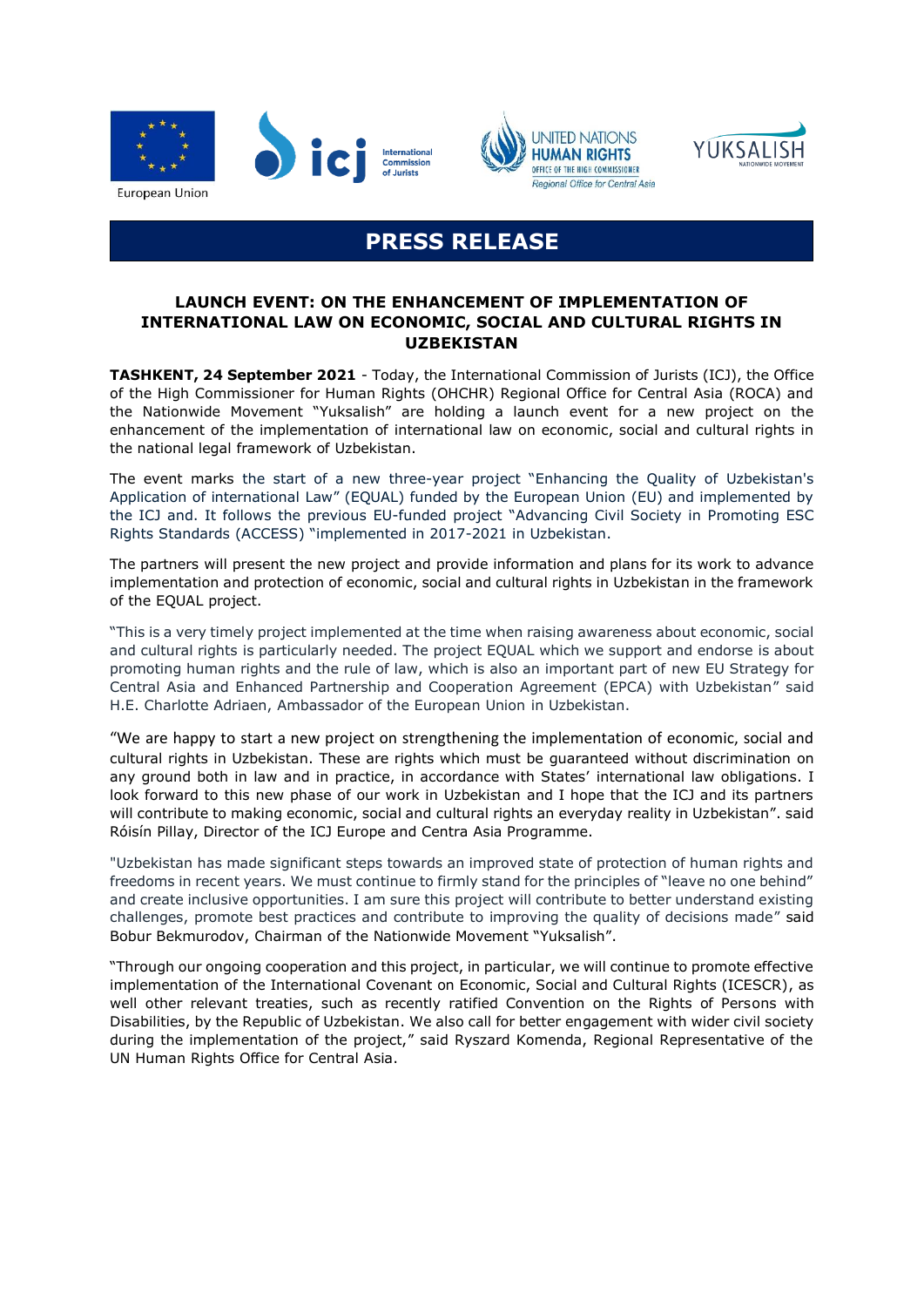





# **PRESS RELEASE**

# **LAUNCH EVENT: ON THE ENHANCEMENT OF IMPLEMENTATION OF INTERNATIONAL LAW ON ECONOMIC, SOCIAL AND CULTURAL RIGHTS IN UZBEKISTAN**

**TASHKENT, 24 September 2021** - Today, the International Commission of Jurists (ICJ), the Office of the High Commissioner for Human Rights (OHCHR) Regional Office for Central Asia (ROCA) and the Nationwide Movement "Yuksalish" are holding a launch event for a new project on the enhancement of the implementation of international law on economic, social and cultural rights in the national legal framework of Uzbekistan.

The event marks the start of a new three-year project "Enhancing the Quality of Uzbekistan's Application of international Law" (EQUAL) funded by the European Union (EU) and implemented by the ICJ and. It follows the previous EU-funded project "[Advancing Civil Society in Promoting ESC](http://www.cc.cec/EUROPEAID/cris/saisie/contrat/contrat.cfm?cctp=SV&key=391441)  Rights [Standards](http://www.cc.cec/EUROPEAID/cris/saisie/contrat/contrat.cfm?cctp=SV&key=391441) (ACCESS) "implemented in 2017-2021 in Uzbekistan.

The partners will present the new project and provide information and plans for its work to advance implementation and protection of economic, social and cultural rights in Uzbekistan in the framework of the EQUAL project.

"This is a very timely project implemented at the time when raising awareness about economic, social and cultural rights is particularly needed. The project EQUAL which we support and endorse is about promoting human rights and the rule of law, which is also an important part of new EU Strategy for Central Asia and Enhanced Partnership and Cooperation Agreement (EPCA) with Uzbekistan" said H.E. Charlotte Adriaen, Ambassador of the European Union in Uzbekistan.

"We are happy to start a new project on strengthening the implementation of economic, social and cultural rights in Uzbekistan. These are rights which must be guaranteed without discrimination on any ground both in law and in practice, in accordance with States' international law obligations. I look forward to this new phase of our work in Uzbekistan and I hope that the ICJ and its partners will contribute to making economic, social and cultural rights an everyday reality in Uzbekistan". said Róisín Pillay, Director of the ICJ Europe and Centra Asia Programme.

"Uzbekistan has made significant steps towards an improved state of protection of human rights and freedoms in recent years. We must continue to firmly stand for the principles of "leave no one behind" and create inclusive opportunities. I am sure this project will contribute to better understand existing challenges, promote best practices and contribute to improving the quality of decisions made" said Bobur Bekmurodov, Chairman of the Nationwide Movement "Yuksalish".

"Through our ongoing cooperation and this project, in particular, we will continue to promote effective implementation of the International Covenant on Economic, Social and Cultural Rights (ICESCR), as well other relevant treaties, such as recently ratified Convention on the Rights of Persons with Disabilities, by the Republic of Uzbekistan. We also call for better engagement with wider civil society during the implementation of the project," said Ryszard Komenda, Regional Representative of the UN Human Rights Office for Central Asia.